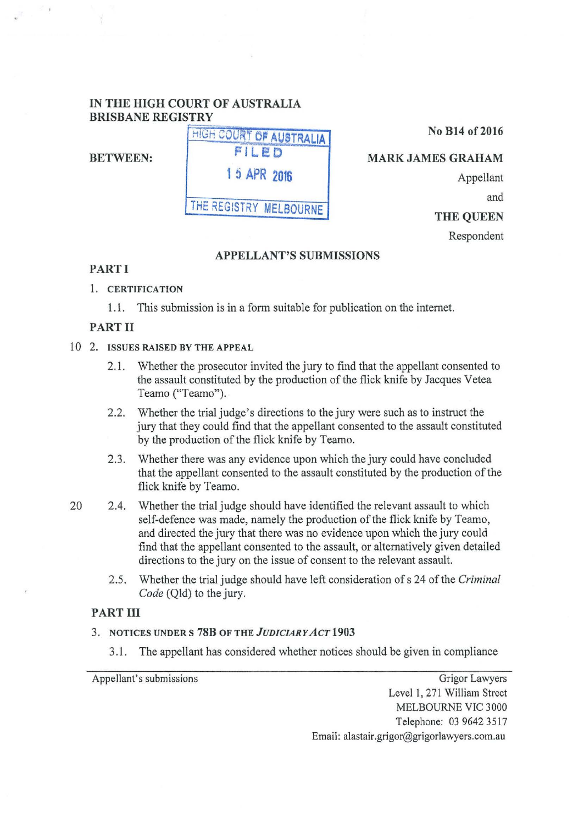# IN THE HIGH COURT OF AUSTRALIA BRISBANE REGISTRY

|                          |                         | <b>DIMODANE IMAGUELINI</b> |  |
|--------------------------|-------------------------|----------------------------|--|
| No B14 of 2016           | HIGH COURT OF AUSTRALIA |                            |  |
| <b>MARK JAMES GRAHAM</b> | FILED                   | <b>BETWEEN:</b>            |  |
| Appellant                | 1 5 APR 2016            |                            |  |
| and                      |                         |                            |  |
| THE OUEEN                | THE REGISTRY MELBOURNE  |                            |  |

THE QUEEN

Respondent

# APPELLANT'S SUBMISSIONS

# PART I

## 1. CERTIFICATION

1.1. This submission is in a form suitable for publication on the internet.

# PART II

# 10 2. ISSUES RAISED BY THE APPEAL

- 2.1. Whether the prosecutor invited the jury to find that the appellant consented to the assault constituted by the production of the flick knife by Jacques Vetea Teamo ("Teamo").
- 2.2. Whether the trial judge's directions to the jury were such as to instruct the jury that they could find that the appellant consented to the assault constituted by the production of the flick knife by Teamo.
- 2.3. Whether there was any evidence upon which the jury could have concluded that the appellant consented to the assault constituted by the production of the flick knife by Teamo.
- 20 2.4. Whether the trial judge should have identified the relevant assault to which self-defence was made, namely the production of the flick knife by Teamo, and directed the jury that there was no evidence upon which the jury could find that the appellant consented to the assault, or alternatively given detailed directions to the jury on the issue of consent to the relevant assault.
	- 2.5. Whether the trial judge should have left consideration of s 24 of the *Criminal Code* (Qld) to the jury.

# PART III

# 3. NOTICES UNDER S 78B OF THE *JUDICIARY ACT* 1903

3 .1 . The appellant has considered whether notices should be given in compliance

Appellant's submissions Grigor Lawyers Level 1, 271 William Street MELBOURNE VIC 3000 Telephone: 03 9642 3517 Email: alastair.grigor@grigorlawyers.com.au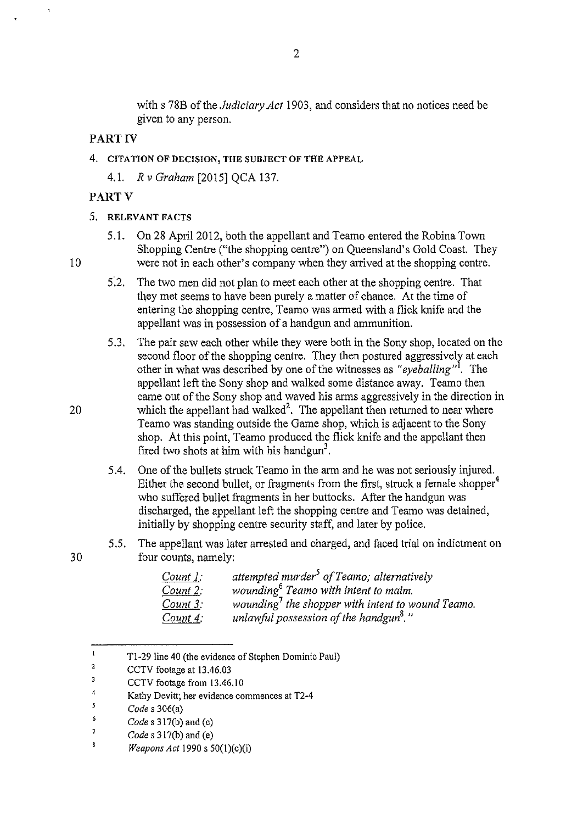with s 78B of the *Judiciary Act* 1903, and considers that no notices need be given to any person.

# **PARTlY**

## 4. CITATION OF DECISION, **THE** SUBJECT OF THE APPEAL

4.1. *R v Graham* [2015] QCA 137.

# **PARTY**

- 5. RELEVANT FACTS
- 5.1. On 28 April 2012, both the appellant and Teamo entered the Robina Town Shopping Centre ("the shopping centre") on Queensland's Gold Coast. They 10 were not in each other's company when they arrived at the shopping centre.
	- 5.2. The two men did not plan to meet each other at the shopping centre. That they met seems to have been purely a matter of chance. At the time of entering the shopping centre. Teamo was armed with a flick knife and the appellant was in possession of a handgun and ammunition.
- 5.3. The pair saw each other while they were both in the Sony shop, located on the second floor of the shopping centre. They then postured aggressively at each other in what was described by one of the witnesses as "eyeballing"<sup>1</sup>. The appellant left the Sony shop and walked some distance away. Teamo then came out of the Sony shop and waved his arms aggressively in the direction in 20 which the appellant had walked<sup>2</sup>. The appellant then returned to near where Teamo was standing outside the Game shop, which is adjacent to the Sony shop. At this point, Teamo produced the flick knife and the appellant then fired two shots at him with his handgun<sup>3</sup>.
	- 5.4. One of the bullets struck Teamo in the arm and he was not seriously injured. Either the second bullet, or fragments from the first, struck a female shopper<sup>4</sup> who suffered bullet fragments in her buttocks. After the handgun was discharged, the appellant left the shopping centre and Teamo was detained, initially by shopping centre security staff, and later by police.
- 5.5. The appellant was later arrested and charged, and faced trial on indictment on 30 four counts, namely:

| Count $1$ : | attempted murder <sup>5</sup> of Teamo; alternatively                           |
|-------------|---------------------------------------------------------------------------------|
| Count 2:    | wounding <sup>6</sup> Teamo with intent to maim.                                |
| Count 3.    | wounding <sup><math>\prime</math></sup> the shopper with intent to wound Teamo. |
| Count 4:    | unlawful possession of the handgun <sup>8</sup> ."                              |

 $\mathfrak{t}$ Tl-29\ine 40 (the evidence of Stephen Dominic Paul)

- 7 *Codes* 317(b) and (e)
- $\mathbf{s}$ *Weapons Act* 1990 s 50(l)(c)(i)

<sup>2</sup>  CCTV footage at 13.46.03

<sup>3</sup>  CCTV footage from 13.46.10

<sup>4</sup>  Kathy Devitt; her evidence commences at T2-4

*<sup>5</sup>  Codes* 306(a)

<sup>6</sup>  *Codes* 317(b) and (e)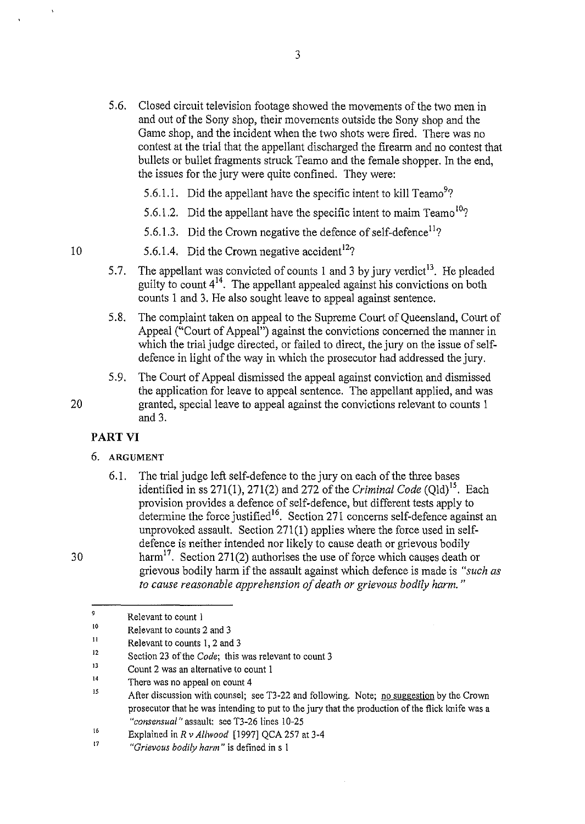- 5.6. Closed circuit television footage showed the movements of the two men in and out of the Sony shop, their movements outside the Sony shop and the Game shop, and the incident when the two shots were fired. There was no contest at the trial that the appellant discharged the firearm and no contest that bullets or bullet fragments struck Teamo and the female shopper. In the end, the issues for the jury were quite confined. They were:
	- 5.6.1.1. Did the appellant have the specific intent to kill Teamo<sup>9</sup>?
	- 5.6.1.2. Did the appellant have the specific intent to maim  $Teamo<sup>10</sup>$ ?
	- 5.6.1.3. Did the Crown negative the defence of self-defence<sup>11</sup>?
- 10  $5.6.1.4$ . Did the Crown negative accident<sup>12</sup>?
	- 5.7. The appellant was convicted of counts 1 and 3 by jury verdict<sup>13</sup>. He pleaded guilty to count  $4^{14}$ . The appellant appealed against his convictions on both counts 1 and 3. He also sought leave to appeal against sentence.
	- 5.8. The complaint taken on appeal to the Supreme Court of Queensland, Court of Appeal ("Court of Appeal") against the convictions concerned the manner in which the trial judge directed, or failed to direct, the jury on the issue of selfdefence in light of the way in which the prosecutor had addressed the jury.
- 5.9. The Court of Appeal dismissed the appeal against conviction and dismissed the application for leave to appeal sentence. The appellant applied, and was 20 granted, special leave to appeal against the convictions relevant to counts 1 and 3.

# **PART VI**

- 6. ARGUMENT
- 6.1. The trial judge left self-defence to the jury on each of the three bases identified in ss  $271(1)$ ,  $271(2)$  and  $272$  of the *Criminal Code* (Qld)<sup>15</sup>. Each provision provides a defence of self-defence, but different tests apply to determine the force justified<sup>16</sup>. Section 271 concerns self-defence against an unprovoked assault. Section 271(1) applies where the force used in selfdefence is neither intended nor likely to cause death or grievous bodily 30 harm<sup>17</sup>. Section 271(2) authorises the use of force which causes death or grievous bodily harm if the assault against which defence is made is *"such as to cause reasonable apprehension of death or grievous bodily harm.* "

<sup>9</sup>  Relevant to count I

<sup>10</sup>  Relevant to counts 2 and 3

II Relevant to counts I, 2 and 3

<sup>12</sup>  Section 23 of the *Code;* this was relevant to count 3

 $\overline{)3}$ Count 2 was an alternative to count I

<sup>14</sup>  There was no appeal on count 4

<sup>15</sup>  After discussion with counsel; see T3-22 and following. Note; no suggestion by the Crown prosecutor that he was intending to put to the jury that the production of the flick knife was a "consensual" assault: see T3-26 lines 10-25

<sup>16</sup>  Explained in *R v A/lwood* [1997] QCA 257 at 3-4

<sup>17</sup>  *"Grievous bodily harm"* is defined in s I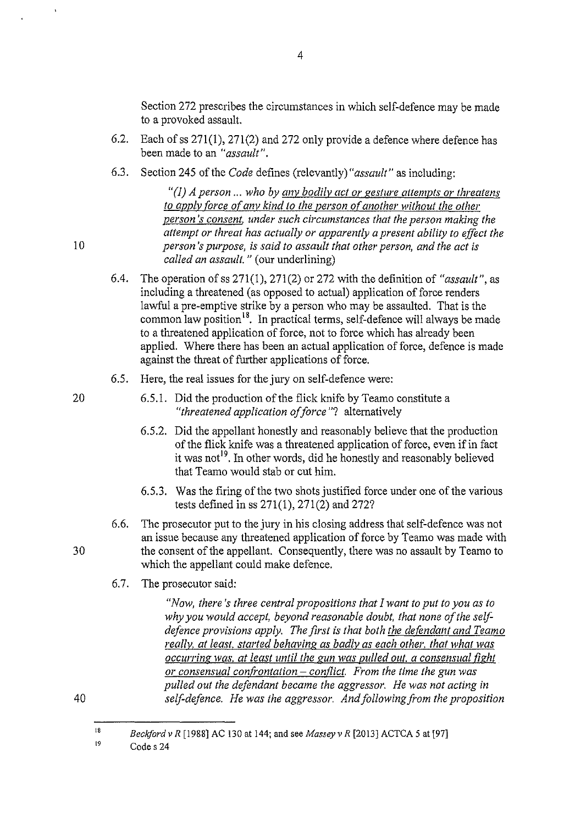Section 272 prescribes the circumstances in which self-defence may be made to a provoked assault.

- 6.2. Each of ss  $271(1)$ ,  $271(2)$  and  $272$  only provide a defence where defence has been made to an *"assault".*
- 6.3. Section 245 of the *Code* defines (relevantly) *"assault"* as including:

"(I) *A person* ... *who by any bodily act or gesture attempts or threatens to apply force of any kind to the person of another without the other person's consent. under such circumstances that the person making the attempt or threat has actually or apparently a present ability to effect the*  I 0 *person 's purpose, is said to assault that other person, and the act is called an assault.* " (our underlining)

- 6.4. The operation ofss 271(1), 271(2) or 272 with the definition of *"assault",* as including a threatened (as opposed to actual) application of force renders lawful a pre-emptive strike by a person who may be assaulted. That is the common law position<sup>18</sup>. In practical terms, self-defence will always be made to a threatened application of force, not to force which has already been applied. Where there has been an actual application of force, defence is made against the threat of further applications of force.
- 6.5. Here, the real issues for the jury on self-defence were:
- 20 6.5.1. Did the production of the flick knife by Teamo constitute a *"threatened application afforce"?* alternatively
	- 6.5.2. Did the appellant honestly and reasonably believe that the production of the flick knife was a threatened application of force, even if in fact it was not<sup>19</sup>. In other words, did he honestly and reasonably believed that Teamo would stab or cut him.
	- 6.5.3. Was the firing of the two shots justified force under one of the various tests defined in ss 271(1), 271(2) and 272?
- 6.6. The prosecutor put to the jury in his closing address that self-defence was not an issue because any threatened application of force by Teamo was made with 30 the consent of the appellant. Consequently, there was no assault by Teamo to which the appellant could make defence.
	- 6.7. The prosecutor said:

*"Now, there's three central propositions that I want to put to you as to why you would accept, beyond reasonable doubt, that none of the self defence provisions apply. The first is that both the defendant and Teamo really, at least. started behaving as badly as each other. that what was occurring was. at least until the gun was pulled out. a consensual fight or consensual confrontation- conflict. From the time the gun was pulled out the defendant became the aggressor. He was not acting in*  self-defence. He was the aggressor. And following from the proposition

<sup>18</sup>  *Beckford v R* [1988] AC 130 at 144; and see *Massey v R* [2013] ACTCA 5 at [97]

<sup>19</sup>  Codes 24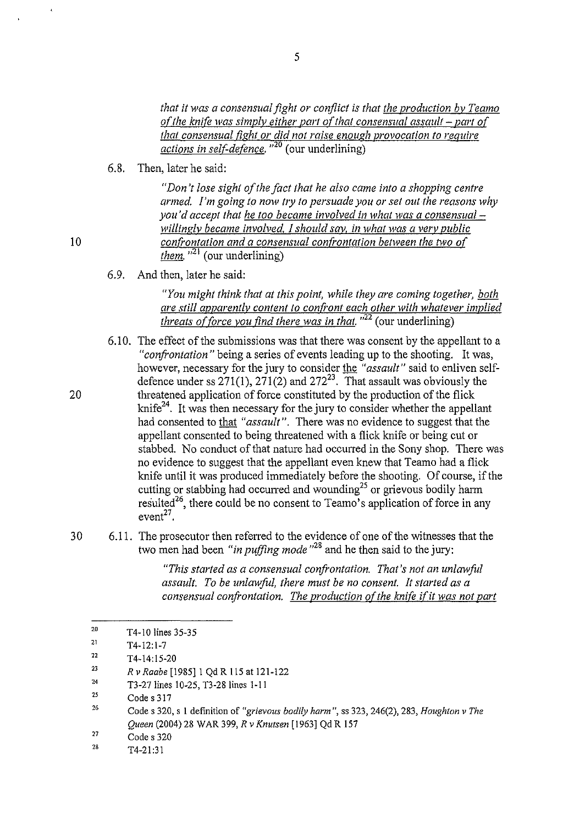*that* it *was a consensual fight or conflict is that the production by Teamo o(the knifi; was simply either part oft hat consensual assault- part o( that consensual fight or did not raise enough provocation to require actions in self-defence.* <sup>"20</sup> (our underlining)

6.8. Then, later he said:

*"Don't lose sight of the fact that he also came into a shopping centre armed. I'm going to now try to persuade you or set out the reasons why vou'd accept that he too became involved in what was a consensual – willingly became involved. I should say, in what was a very public* 10 *conti·ontation and a consensual conti·ontation between the two of them.* " <sup>21</sup>(our underlining)

6.9. And then, later he said:

*"You might think that at this point, while they are coming together, both are still apparently content to confi·ont each other with whatever implied threats of force you find there was in that.* "<sup>22</sup> (our underlining)

- 6.10. The effect of the submissions was that there was consent by the appellant to a *"confrontation"* being a series of events leading up to the shooting. It was, however, necessary for the jury to consider the *"assault"* said to enliven selfdefence under ss  $271(1)$ ,  $271(2)$  and  $272^{23}$ . That assault was obviously the 20 threatened application of force constituted by the production of the flick knife<sup>24</sup>. It was then necessary for the jury to consider whether the appellant had consented to that *"assault".* There was no evidence to suggest that the appellant consented to being threatened with a flick knife or being cut or stabbed. No conduct of that nature had occurred in the Sony shop. There was no evidence to suggest that the appellant even knew that Teamo had a flick knife until it was produced immediately before the shooting. Of course, if the cutting or stabbing had occurred and wounding<sup>25</sup> or grievous bodily harm resulted<sup>26</sup>, there could be no consent to Teamo's application of force in any  $even<sup>27</sup>$ .
- 30 6.11. The prosecutor then referred to the evidence of one of the witnesses that the two men had been *"in puffing mode* " 28 and he then said to the jury:

*"This started as a consensual confrontation. That's not an unlawful assault. To be unlawful, there must be no consent. It started as a*  consensual confrontation. The production of the knife if it was not part

<sup>20</sup>  T4-10 lines 35-35

<sup>21</sup>  T4-12:1-7

<sup>22</sup>  T4-14:15-20

<sup>23</sup>  *R v Raabe* [1985]1 Qd R 115 at 121-122

<sup>24</sup>  T3-271ines 10-25, T3-28lines I-ll

<sup>25</sup>  Codes 317

<sup>26</sup>  Codes 320, s 1 definition of *"grievous bodily harm",* ss 323, 246(2), 283, *Houghton v The Queen* (2004) 28 WAR 399, *R v Knutsen* [1963] Qd R !57

<sup>27</sup>  Codes 320

<sup>28</sup>  T4-21:31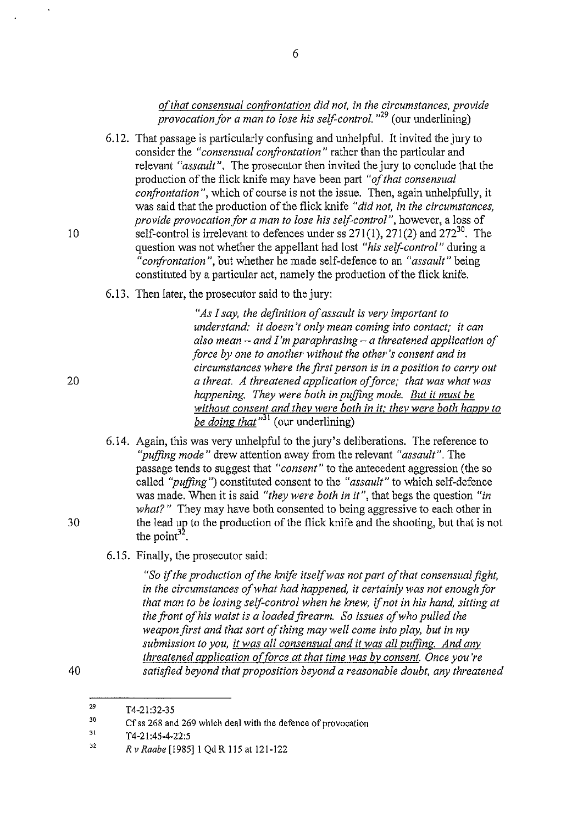# of that consensual confrontation did not, in the circumstances, provide *provocation for a man to lose his self-control.* " 29 (our underlining)

- 6.12. That passage is particularly confusing and unhelpful. It invited the jury to consider the *"consensual confrontation"* rather than the particular and relevant *"assault".* The prosecutor then invited the jury to conclude that the production of the flick knife may have been part *"of that consensual confrontation",* which of course is not the issue. Then, again unhelpfully, it was said that the production of the flick knife *"did not, in the circumstances, provide provocation for a man to lose his self-control",* however, a loss of 10 self-control is irrelevant to defences under ss  $271(1)$ ,  $271(2)$  and  $272^{30}$ . The question was not whether the appellant had lost *"his self-control"* during a *"confrontation",* but whether he made self-defence to an *"assault"* being constituted by a particular act, namely the production of the flick knife.
	- 6.13. Then later, the prosecutor said to the jury:

*"As I say, the definition of assault is very important to understand: it doesn't only mean coming into contact; it can also mean- and I'm paraphrasing- a threatened application of force by one to another without the other's consent and in circumstances where the first person is in a position to carry out a threat. A threatened application afforce; that was what was happening. They were both in puffing mode. But* it *must be without consent and thev were both in it; thev were both happv to be doing that*<sup>31</sup> (our underlining)

- 6.14. Again, this was very unhelpful to the jury's deliberations. The reference to *"puffing mode"* drew attention away from the relevant *"assault".* The passage tends to suggest that *"consent"* to the antecedent aggression (the so called *"puffing")* constituted consent to the *"assault"* to which self-defence was made. When it is said *"they were both in it",* that begs the question *"in what?"* They may have both consented to being aggressive to each other in 30 the lead up to the production of the flick knife and the shooting, but that is not the point $3^2$ .
	- 6.15. Finally, the prosecutor said:

*"So if the production of the knife itseifwas not part of that consensual fight, in the circumstances of what had happened, it certainly was not enough for that man to be losing self-control when he knew, if not in his hand, sitting at the front of his waist is a loaded firearm. So issues of who pulled the weapon first and that sort of thing may well come into play, but in my submission to you, it was all consensual and it was all puffing. And anv threatened application of force at that time was by consent. Once you're* 40 *satisfied beyond that proposition beyond a reasonable doubt, any threatened* 

<sup>29</sup>  T4-21:32-35

<sup>30</sup>  Cf ss 268 and 269 which deal with the defence of provocation

<sup>3\</sup>  T4-21 :45-4-22:5

<sup>32</sup>  *R v Raabe* [1985]1 Qd R 115 at 121-122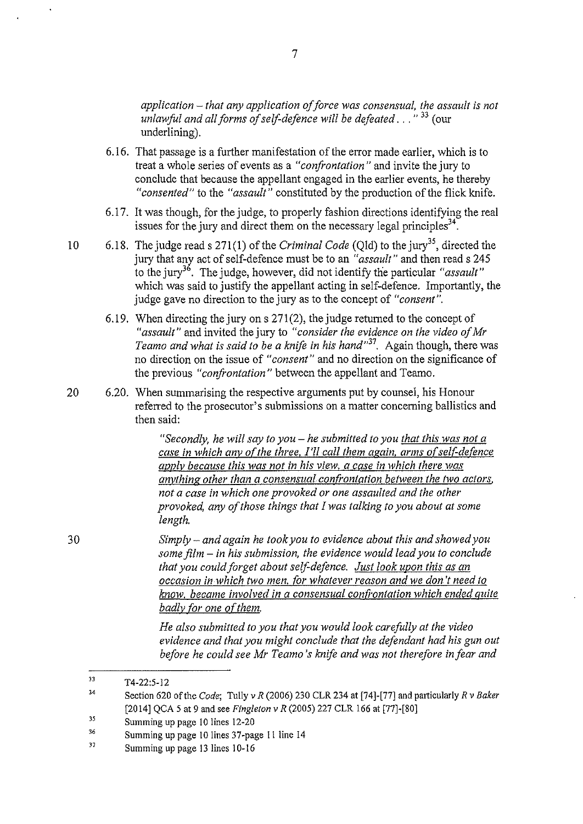*application- that any application afforce was consensual, the assault is not unlawful and all forms of self-defence will be defeated .* .. " 33 (our underlining).

- 6.16. That passage is a further manifestation of the error made earlier, which is to treat a whole series of events as a *"confrontation"* and invite the jury to conclude that because the appellant engaged in the earlier events, he thereby *"consented"* to the *"assault"* constituted by the production of the flick knife.
- 6.17. It was though, for the judge, to properly fashion directions identifying the real issues for the jury and direct them on the necessary legal principles<sup>34</sup>.
- 10 6.18. The judge read s 271(1) of the *Criminal Code* (Qld) to the jury<sup>35</sup>, directed the jury that any act of self-defence must be to an *"assault"* and then read s 245 to the jury<sup>36</sup>. The judge, however, did not identify the particular *"assault"* which was said to justify the appellant acting in self-defence. Importantly, the judge gave no direction to the jury as to the concept of *"consent".* 
	- 6.19. When directing the jury on  $s$  271(2), the judge returned to the concept of *"assault"* and invited the jury to *"consider the evidence on the video of Mr Teamo and what is said to be a knife in his hand"31•* Again though, there was no direction on the issue of *"consent"* and no direction on the significance of the previous *"confrontation"* between the appellant and Teamo.
- 20 6.20. When summarising the respective arguments put by counsel, his Honour referred to the prosecutor's submissions on a matter concerning ballistics and then said:

*"Secondly, he will say to you* - *he submitted to you that this was not a case in which any of the three. I'll call them again, arms of self-defence apply because this was not in his view. a case in which there was anvthing other than a consensual con{i-ontation between the two actors, not a case in which one provoked or one assaulted and the other provoked, any of those things that I was talking to you about at some length.* 

*Simply- and again he took you to evidence about this and showed you some film- in his submission, the evidence would lead you to conclude that you could forget about self-defence. Just look upon this as an occasion in which two men. for whatever reason and we don't need to know. became involved in a consensual confi'ontation which ended quite badly for one of them.* 

> *He also submitted to you that you would look carefully at the video evidence and that you might conclude that the defendant had his gun out before he could see Mr Teamo 's knife and was not therefore in fear and*

30

<sup>33</sup> T4-22:5-12

<sup>34</sup>  Section 620 of the *Code;* Tully v *R* (2006) 230 CLR 234 at [74]-[77] and particularly *R* v *Baker*  [20 14] QCA 5 at 9 and see *Fingleton* v *R* (2005) 227 CLR 166 at [77]-[80]

<sup>35</sup>  Summing up page 10 lines 12-20

<sup>36</sup>  Summing up page 10 lines 37-page 11 line !4

<sup>37</sup>  Summing up page 13 lines 10-16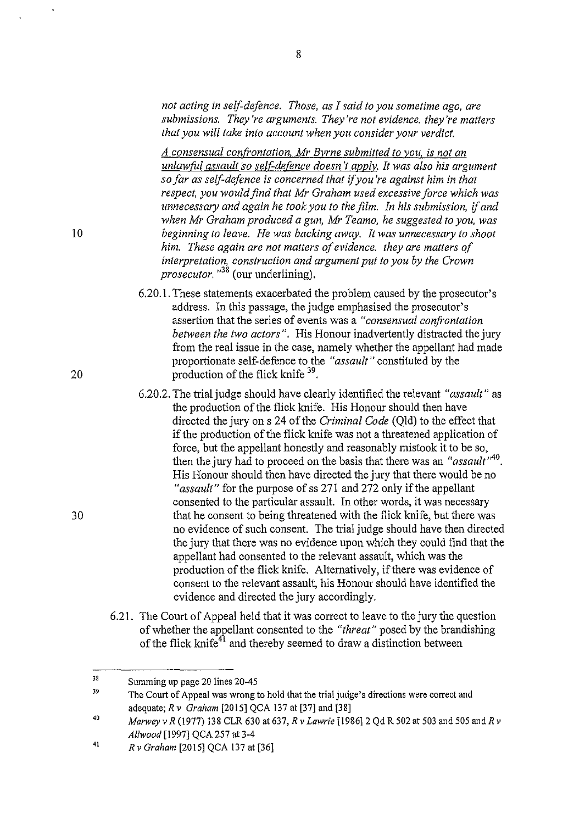*not acting in self-defence. Those, as I said to you sometime ago, are submissions. They're arguments. They're not evidence. they're matters that you will take into account when you consider your verdict.* 

*A consensual confrontation, Mr Byrne submitted to you,* is *not an unlawful assault so self.de(ence doesn't apply. It was also his argument so far as self-defence* is *concerned that* if *you're against him in that respect, you would find that Mr Graham used excessive force which was unnecessary and again he took you to the film. In his submission,* if *and when Mr Graham produced a gun, Mr Teamo, he suggested to you, was*  10 *beginning to leave. He was backing away. It was unnecessary to shoot him. These again are not matters of evidence. they are matters of interpretation, construction and argument put to you by the Crown prosecutor.* " 38 (our underlining).

- 6.20.1. These statements exacerbated the problem caused by the prosecutor's address. In this passage, the judge emphasised the prosecutor's assertion that the series of events was a *"consensual confrontation between the two actors".* His Honour inadvertently distracted the jury from the real issue in the case, namely whether the appellant had made proportionate self-defence to the *"assault"* constituted by the 20 production of the flick knife  $^{39}$ .
- 6.20.2. The trial judge should have clearly identified the relevant *"assault"* as the production of the flick knife. His Honour should then have directed the jury on s 24 of the *Criminal Code* (Qld) to the effect that if the production of the flick knife was not a threatened application of force, but the appellant honestly and reasonably mistook it to be so, then the jury had to proceed on the basis that there was an *"assault"40•*  His Honour should then have directed the jury that there would be no *"assault"* for the purpose of ss 271 and 272 only if the appellant consented to the particular assault. In other words, it was necessary 30 that he consent to being threatened with the flick knife, but there was no evidence of such consent. The trial judge should have then directed the jury that there was no evidence upon which they could find that the appellant had consented to the relevant assault, which was the production of the flick knife. Alternatively, if there was evidence of consent to the relevant assault, his Honour should have identified the evidence and directed the jury accordingly.
	- 6.21. The Court of Appeal held that it was correct to leave to the jury the question of whether the appellant consented to the *"threat"* posed by the brandishing of the flick knife<sup> $41$ </sup> and thereby seemed to draw a distinction between

<sup>38</sup>  Summing up page 20 lines 20-45

<sup>39</sup>  The Court of Appeal was wrong to hold that the trial judge's directions were correct and adequate; *R v Graham* [2015] QCA 137 at[37] and [38]

<sup>40</sup>  *Marwey v R* (1977) 138 CLR 630 at 637, *R v Lawrie* [1986] 2 Qd R 502 at 503 and 505 and *R v Allwood* [1997] QCA 257 at 3-4

<sup>41</sup>  *R v Graham* [2015] QCA 137 at [36]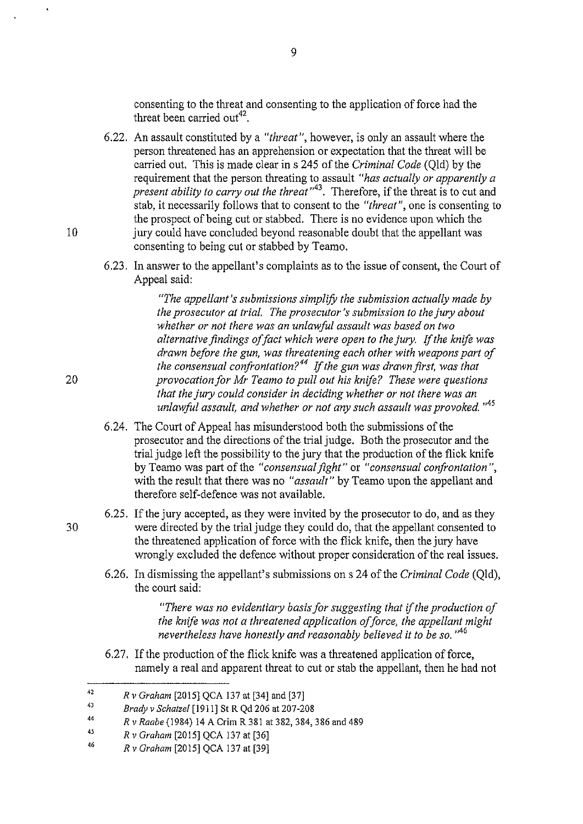consenting to the threat and consenting to the application of force had the threat been carried out<sup>42</sup>.

- 6.22. An assault constituted by a *"threat",* however, is only an assault where the person threatened has an apprehension or expectation that the threat will be carried out. This is made clear ins 245 of the *Criminal Code* (Qld) by the requirement that the person threating to assault *"has actually or apparently a present ability to carry out the threat*<sup> $143$ </sup>. Therefore, if the threat is to cut and stab, it necessarily follows that to consent to the *"threat",* one is consenting to the prospect of being cut or stabbed. There is no evidence upon which the 10 jury could have concluded beyond reasonable doubt that the appellant was consenting to being cut or stabbed by Teamo.
	- 6.23. In answer to the appellant's complaints as to the issue of consent, the Court of Appeal said:

*"The appellant's submissions simplifY the submission actually made by the prosecutor at trial. The prosecutor's submission to the jury about whether or not there was an unlawful assault was based on two alternative findings of fact which were open to the jury.* If *the knife was drawn before the gun, was threatening each other with weapons part of the consensual confrontation?*44 If *the gun was drawn first, was that*  20 *provocation for Mr Teamo to pull out his knife? These were questions that the jury could consider in deciding whether or not there was an unlawful assault, and whether or not any such assault was provoked.* " 45

- 6.24. The Court of Appeal has misunderstood both the submissions of the prosecutor and the directions of the trial judge. Both the prosecutor and the trial judge left the possibility to the jury that the production of the flick knife by Teamo was part of the *"consensual fight"* or *"consensual confrontation",*  with the result that there was no *"assault"* by Teamo upon the appellant and therefore self-defence was not available.
- 6.25. If the jury accepted, as they were invited by the prosecutor to do, and as they 30 were directed by the trial judge they could do, that the appellant consented to the threatened application of force with the flick knife, then the jury have wrongly excluded the defence without proper consideration of the real issues.
	- 6.26. In dismissing the appellant's submissions on s 24 of the *Criminal Code* (Qld), the court said:

*"There was no evidentiary basis for suggesting that if the production of the knife was not a threatened application of force, the appellant might nevertheless have honestly and reasonably believed it to be so.* " 46

6.27. If the production of the flick knife was a threatened application of force, namely a real and apparent threat to cut or stab the appellant, then he had not

<sup>42</sup>  *R v Graham* [2015] QCA 137 at [34] and [37]

<sup>43</sup>  *Brady v Schatzel* [1911] St R Qd 206 at 207-208

<sup>44</sup>  *R v Raabe* (1984) 14 A Crim R 381 at 382, 384, 386 and 489

<sup>45</sup>  *R v Graham* [2015] QCA 137 at [36]

<sup>46</sup>  *R v Graham* [2015] QCA 137 at [39]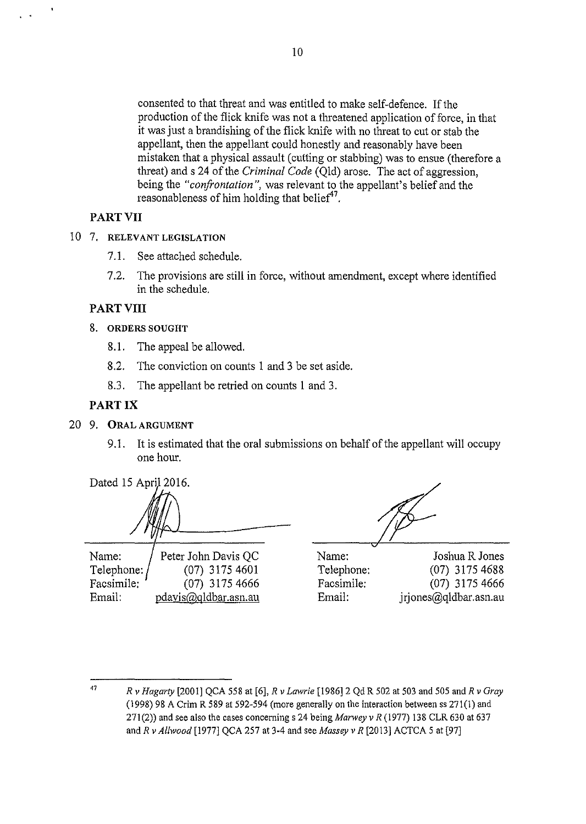consented to that threat and was entitled to make self-defence. If the production of the flick knife was not a threatened application of force, in that it was just a brandishing of the flick knife with no threat to cut or stab the appellant, then the appellant could honestly and reasonably have been mistaken that a physical assault (cutting or stabbing) was to ensue (therefore a threat) and s 24 of the *Criminal Code* (Qld) arose. The act of aggression, being the *"confrontation",* was relevant to the appellant's belief and the reasonableness of him holding that belief<sup>47</sup>.

# **PART VII**

 $\bar{\mathbf{t}}$ 

- 10 7. RELEVANT LEGISLATION
	- 7.1. See attached schedule.
	- 7 .2. The provisions are still in force, without amendment, except where identified in the schedule.

# **PART VIII**

- 8. ORDERS SOUGHT
	- 8.1. The appeal be allowed.
	- 8.2. The conviction on counts 1 and 3 be set aside.
	- 8.3. The appellant be retried on counts I and 3.

# **PART IX**

- 20 9. ORAL ARGUMENT
	- 9.1. It is estimated that the oral submissions on behalf of the appellant will occupy one hour.

Dated 15 April 2016.

| Name:        | Peter John Davis QC  |
|--------------|----------------------|
| Telephone: / | $(07)$ 3175 4601     |
| Facsimile:   | $(07)$ 3175 4666     |
| Email:       | pdavis@qldbar.asn.au |

Name: Name: Telephone:

Joshua R Jones (07) 3175 4688 Facsimile: Facsimile: (07) 3175 4666 Email: jrjones@q1dbar.asn.au

<sup>47</sup> *R v Hagarty* [2001] QCA 558 at [6], *R v Lawrie* [1986]2 Qd R 502 at 503 and 505 and *R v Gray*  (1998) 98 A Crim R 589 at 592-594 (more generally on the interaction between ss 271(1) and 271 (2)) and see also the cases concerning s 24 being *Marwey v R* (1977) 138 CLR 630 at 637 and *R v Allwood* [1977] QCA 257 at 3-4 and see *Massey v R* [2013] ACTCA 5 at [97]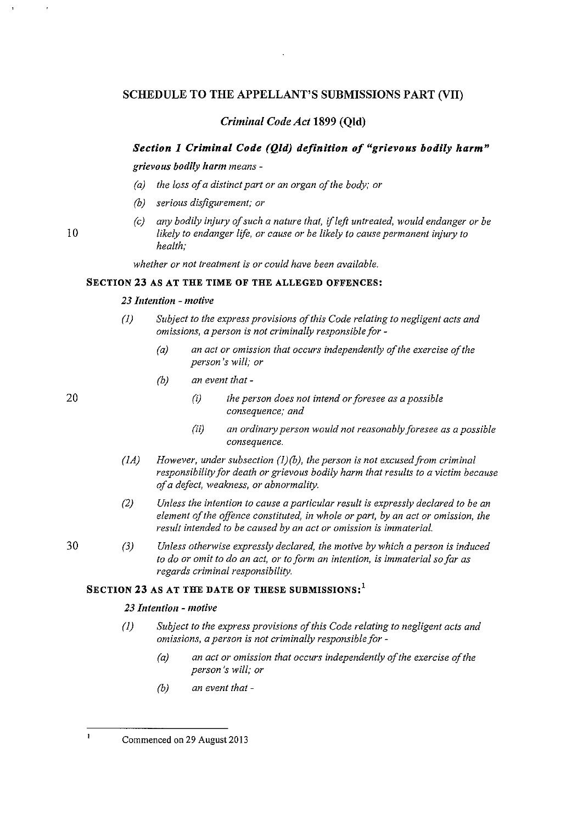# **SCHEDULE TO THE APPELLANT'S SUBMISSIONS PART (VII)**

## *Criminal Code Act* **1899 (Qid)**

## *Section I Criminal Code (Qld) definition of "grievous bodily harm"*

*grievous bodily harm means-*

- *(a) the loss of a distinct part or an organ of the body; or*
- *(b) serious disfigurement; or*
- *(c) any bodily injury of such a nature that, if left untreated, would endanger or be likely to endanger life, or cause or be likely to cause permanent injury to health;*

*whether or not treatment is or could have been available.* 

#### **SECTION 23 AS AT THE TIME OF THE ALLEGED OFFENCES:**

### *23 Intention* **-** *motive*

- *(1) Subject to the express provisions of this Code relating to negligent acts and omissions, a person is not criminally responsible for-*
	- *(a) an act or omission that occurs independently of the exercise of the person's will; or*
	- *(b) an event that-*
		- *(i) the person does not intend or foresee as a possible consequence; and*
		- *(ii) an ordinary person would not reasonably foresee as a possible consequence.*
- *(JA) However, under subsection (I) (b), the person is not excused from criminal responsibility for death or grievous bodily harm that results to a victim because of a defect, weakness, or abnormality.*
- *(2) Unless the intention to cause a particular result is expressly declared to be an element of the offence constituted, in whole or part, by an act or omission, the result intended to be caused by an act or omission is immaterial.*
- 30 *(3) Unless otherwise expressly declared, the motive by which a person is induced to do or omit to do an act, or to form an intention, is immaterial so far as regards criminal responsibility.*

### **SECTION 23 AS AT THE DATE OF THESE SUBMISSIONS: <sup>1</sup>**

### *23 Intention* **-** *motive*

- *(I) Subject to the express provisions of this Code relating to negligent acts and omissions, a person is not criminally responsible for* -
	- *(a) an act or omission that occurs independently of the exercise of the person 's will; or*
	- *(b) an event that-*

10

Commenced on 29 August 2013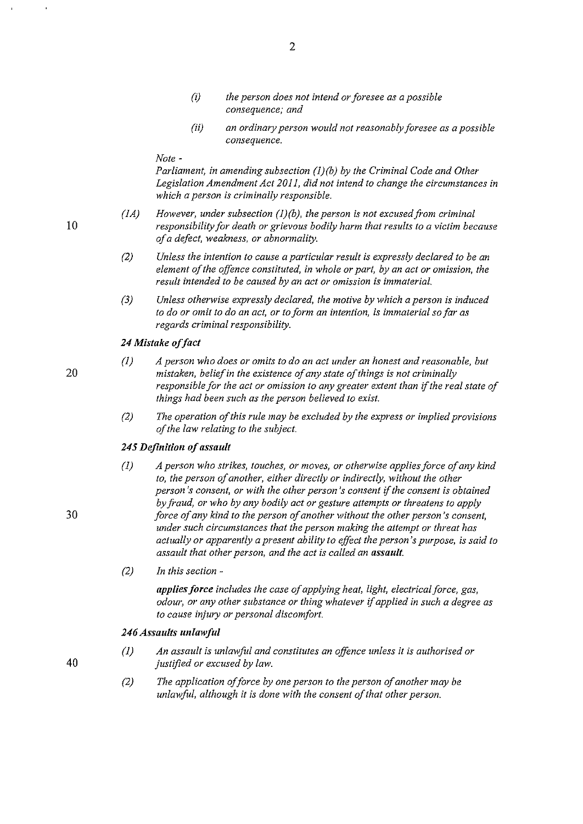- (i) *the person does not intend or foresee as a possible consequence; and*
- *(ii) an ordinmy person would not reasonably foresee as a possible consequence.*

*Note-*

*Parliament, in amending subsection (1)(b) by the Criminal Code and Other Legislation Amendment Act 2011, did not intend to change the circumstances in which a person is criminally responsible.* 

- *(1A) However, under subsection (1)(b), the person is not excused from criminal responsibility for death or grievous bodily harm that results to a victim because of a defect, weakness, or abnormality.*
- *(2) Unless the intention to cause a particular result is expressly declared to be an element of the offence constituted, in whole or part, by an act or omission, the result intended to be caused by an act or omission is immaterial.*
- *(3) Unless otherwise expressly declared, the motive by which a person is induced to do or omit to do an act, or to form an intention, is immaterial so far as regards criminal responsibility.*

## *24 Mistake of fact*

- (1) *A person who does or omits to do an act under an honest and reasonable, but mistaken, belief in the existence of any state of things is not criminally responsible for the act or omission to any greater extent than* if *the real state of things had been such as the person believed to exist.* 
	- *(2) The operation of this rule may be excluded by the express or implied provisions of the law relating to the subject.*

### *245 Definition of assault*

- (I) *A person who strikes, touches, or moves, or otherwise applies force of any kind to, the person of another, either directly or indirectly, without the other person's consent, or with the other person's consent* if *the consent is obtained by fraud, or who by any bodily act or gesture attempts or threatens to apply force of any kind to the person of another without the other person's consent, under such circumstances that the person making the attempt or threat has actually or apparently a present ability to effect the person's purpose, is said to assault that other person, and the act is called an assault.*
- *(2) In this section-*

*applies force includes the case of applying heat, light, electrical force, gas, odour, or any other substance or thing whatever* if *applied in such a degree as to cause injury or personal discomfort.* 

### *246 Assaults unlawful*

- (I) *An assault is unlawful and constitutes an offence unless it is authorised or justified or excused by law.*
- *(2) The application of force by one person to the person of another may be unlawful, although it is done with the consent of that other person.*

20

30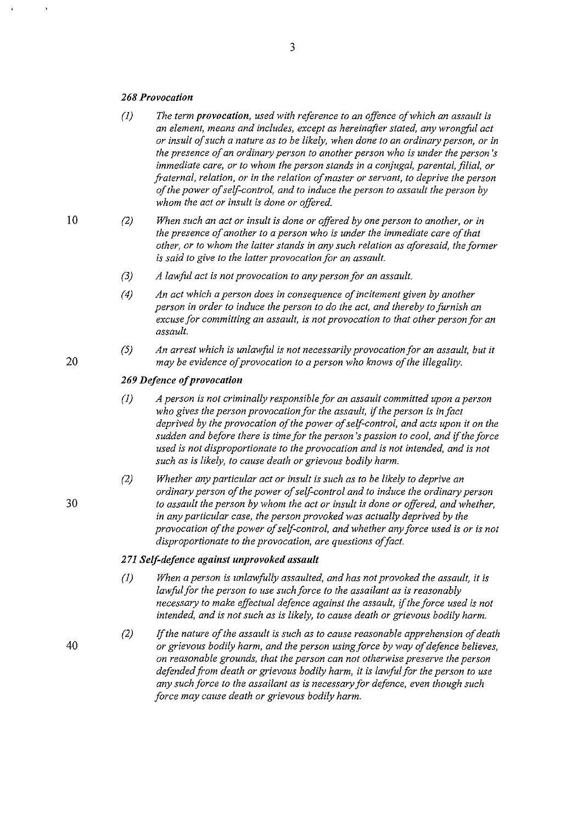#### *268 Provocation*

- (I) *The term provocation, used with reference to an offence of which an assault is an element, means and includes, except as hereinafter stated, any wrongful act or insult of such a nature as to be likely, when done to an ordinary person, or in the presence of an ordinary person to another person who is under the person's immediate care, or to whom the person stands in a conjugal, parental, filial, or fraternal, relation, or in the relation of master or servant, to deprive the person of the power of self-control, and to induce the person to assault the person by whom the act or insult is done or offered.*
- (2) *When such an act or insult is done or offered by one person to another, or in the presence of another to a person who is under the immediate care of that other, or to whom the latter stands in any such relation as aforesaid, the former is said to give to the latter provocation for an assault.* 
	- *(3) A lawful act is not provocation to any person for an assault.*
	- *(4) An act which a person does in consequence of incitement given by another person in order to induce the person to do the act, and thereby to furnish an excuse for committing an assault, is not provocation to that other person for an assault.*
	- (5) *An arrest which is unlawful is not necessarily provocation for an assault, but it may be evidence of provocation to a person who knows of the illegality.*

### *269 Defence of provocation*

- *(I) A person is not criminally responsible for an assault committed upon a person who gives the person provocation for the assault,* if *the person is in fact deprived by the provocation of the power of self-control, and acts upon it on the sudden and before there is time for the person's passion to cool, and* if *the force used is not disproportionate to the provocation and is not intended, and is not such as is likely, to cause death or grievous bodily harm.*
- *(2) Whether any particular act or insult is such as to be likely to deprive an ordinary person of the power of self-control and to induce the ordinary person to assault the person by whom the act or insult is done or offered, and whether, in any particular case, the person provoked was actually deprived by the provocation of the power of self-control, and whether any force used is or is not disproportionate to the provocation, are questions of fact.*

### *271 Self-defence against unprovoked assault*

- (I) *When a person is unlawfully assaulted, and has not provoked the assault, it is lawful for the person to use such force to the assailant as is reasonably necessary to make effectual defence against the assault,* if *the force used is not intended, and is not such as is likely, to cause death or grievous bodily harm.*
- *(2)* If *the nature of the assault is such as to cause reasonable apprehension of death or grievous bodily harm, and the person using force by way of defence believes, on reasonable grounds, that the person can not otherwise preserve the person defended fi'om death or grievous bodily harm, it is lawful for the person to use any such force to the assailant as is necessary for defence, even though such force may cause death or grievous bodily harm.*

20

**10**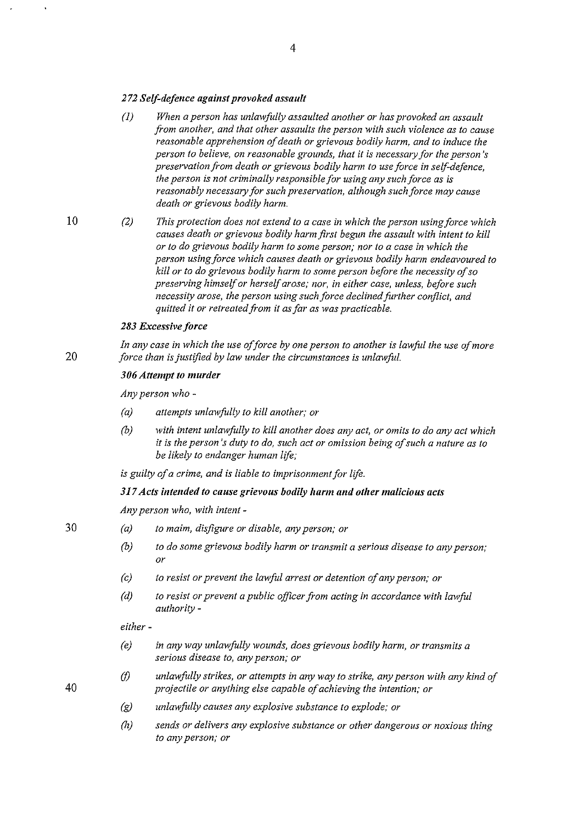*2 72 Self-defence against provoked assault* 

- (I) *When a person has unlawfully assaulted another or has provoked an assault from another, and that other assaults the person with such violence as to cause reasonable apprehension of death or grievous bodily harm, and to induce the person to believe, on reasonable grounds, that it is necessary for the person's preservation from death or grievous bodily harm to use force in self-defence, the person is not criminally responsible for using any such force as is reasonably necessary for such preservation, although such force may cause death or grievous bodily harm.*
- *(2) This protection does not extend to a case in which the person using force which causes death or grievous bodily harm first begun the assault with intent to kill or to do grievous bodily harm to some person; nor to a case in which the person using force which causes death or grievous bodily harm endeavoured to kill or to do grievous bodily harm to some person before the necessity of so preserving himself or herself arose; nor, in either case, unless, before such necessity arose, the person using such force declined further conflict, and quitted it or retreated from it as far as was practicable.*

### *283 Excessive force*

*In any case in which the use of force by one person to another is lawful the use of more*  20 *force than is justified by law under the circumstances is unlawful.* 

#### *306 Attempt to murder*

*Any person who* -

- *(a) attempts unlawfully to kill another; or*
- *(b) with intent unlawfully to kill another does any act, or omits to do any act which it is the person's duty to do, such act or omission being of such a nature as to be likely to endanger human life;*

*is guilty of a crime, and is liable to imprisonment for life.* 

#### *317 Acts intended to cause grievous bodily lzarm and other malicious acts*

*Any person who, with intent-*

- *(a) to maim, disfigure or disable, any person; or* 
	- *(b) to do some grievous bodily harm or transmit a serious disease to any person; or*
	- *(c) to resist or prevent the lawful arrest or detention of any person; or*
	- *(d) to resist or prevent a public officer from acting in accordance with lawful authority-*

*either-*

- *(e) in any way unlawfully wounds, does grievous bodily harm, or transmits a serious disease to, any person; or*
- (f) *unlawfully strikes, or attempts in any way to strike, any person with any kind of projectile or anything else capable of achieving the intention; or*
- *(g) unlawfully causes any explosive substance to explode; or*
- *(h) sends or delivers any explosive substance or other dangerous or noxious thing to any person; or*

30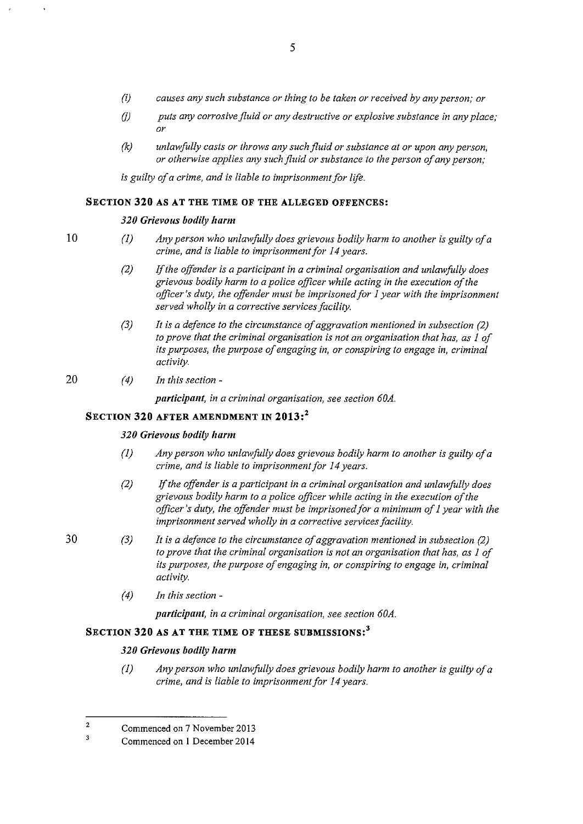- (i) *causes any such substance or thing to be taken or received by any person; or*
- (j) *puts any corrosive fluid or any destructive or explosive substance in any place; or*
- *(k) unlawfully casts or throws any such fluid or substance at or upon any person, or otherwise applies any such fluid or substance to the person of any person;*

*is guilty of a crime, and is liable to imprisonment for life.* 

## **SECTION 320 AS AT THE TIME OF THE ALLEGED OFFENCES:**

### *320 Grievous bodily harm*

- (I) *Any person who unlawfully does grievous bodily harm to another is guilty of a crime, and is liable to imprisonment for 14 years.* 
	- *(2)* If the offender is a participant in a criminal organisation and unlawfully does *grievous bodily harm to a police officer while acting in the execution of the officer's duty, the offender must be imprisoned for I year with the imprisonment served wholly in a corrective services facility.*
	- *(3) It is a defence to the circumstance of aggravation mentioned in subsection (2) to prove that the criminal organisation is not an organisation that has, as I of its purposes, the purpose of engaging in, or conspiring to engage in, criminal activity.*
- 20 (4) *In this section* -

*participant, in a criminal organisation, see section 60A.* 

# SECTION 320 AFTER AMENDMENT IN 2013:<sup>2</sup>

## *320 Grievous bodily harm*

- *(I) Any person who unlawfully does grievous bodily harm to another is guilty of a crime, and is liable to imprisonment for I4 years.*
- *(2)* If *the offender is a participant in a criminal organisation and unlawfully does grievous bodily harm to a police officer while acting in the execution of the officer's duty, the offender must be imprisoned for a minimum of I year with the imprisonment served wholly in a corrective services facility.*
- *(3) It is a defence to the circumstance of aggravation mentioned in subsection (2) to prove that the criminal organisation is not an organisation that has, as I of its purposes, the purpose of engaging in, or conspiring to engage in, criminal activity.* 
	- *(4) In this section-*

*participant, in a criminal organisation, see section 60A.* 

# **SECTION 320 AS AT THE TIME OF THESE SUBMISSIONS: <sup>3</sup>**

### *320 Grievous bodily harm*

*(I) Any person who unlawfully does grievous bodily harm to another is guilty of a crime, and is liable to imprisonment for I4 years.* 

30

<sup>2</sup>  Commenced on 7 November 2013

 $\overline{\mathbf{3}}$ Commenced on I December 2014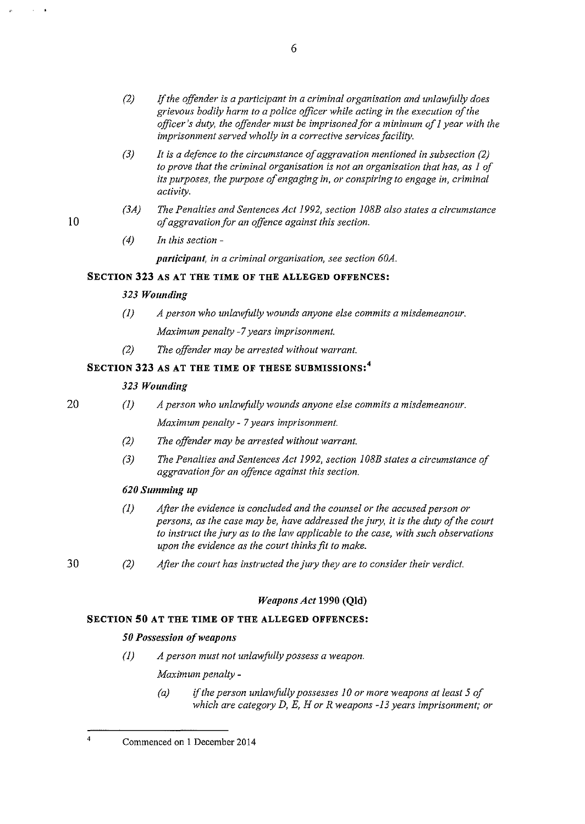- *(2)* If *the offender is a participant in a criminal organisation and unlawfully does grievous bodily harm to a police officer while acting in the execution of the officer's duty, the offender must be imprisoned for a minimum of 1 year with the imprisonment served wholly in a corrective services facility.*
- *(3) It is a defence to the circumstance of aggravation mentioned in subsection (2) to prove that the criminal organisation is not an organisation that has, as 1 of its purposes, the purpose of engaging in, or conspiring to engage in, criminal activity.*
- *(3A) The Penalties and Sentences Act 1992, section 108B also states a circumstance of aggravation for an offence against this section.* 
	- *( 4) In this section* -

*participant, in a criminal organisation, see section 60A.* 

## **SECTION 323 AS AT THE TIME OF THE ALLEGED OFFENCES:**

### *323 Wounding*

- *(1) A person who unlawfully wounds anyone else commits a misdemeanour. Maximum penalty* -7 *years imprisonment.*
- *(2) The offender may be arrested without warrant.*

# **SECTION 323 AS AT THE TIME OF THESE SUBMISSIONS: <sup>4</sup>**

## *323 Wounding*

20

- (1) *A person who unlawfully wounds anyone else commits a misdemeanour. Maximum penalty* - 7 *years imprisonment.* 
	- *(2) The offender may be arrested without warrant.*
	- *(3) The Penalties and Sentences Act 1992, section 1 08B states a circumstance of aggravation for an offence against this section.*

### *620 Summing up*

- *(1) After the evidence is concluded and the counsel or the accused person or persons, as the case may be, have addressed the jury, it is the duty of the court to instruct the jury as to the law applicable to the case, with such observations upon the evidence as the court thinks fit to make.*
- (2) *After the court has instructed the jury they are to consider their verdict.*

### *Weapons Act* **1990 (Qld)**

### **SECTION 50 AT THE TIME OF THE ALLEGED OFFENCES:**

### *50 Possession of weapons*

*(1) A person must not unlawfully possess a weapon.* 

*Maximum penalty* -

*(a)* if *the person unlawfully possesses 10 or more weapons at least 5 of which are category D, E, H or R weapons -13 years imprisonment; or* 

**10** 

30

Commenced on 1 December 2014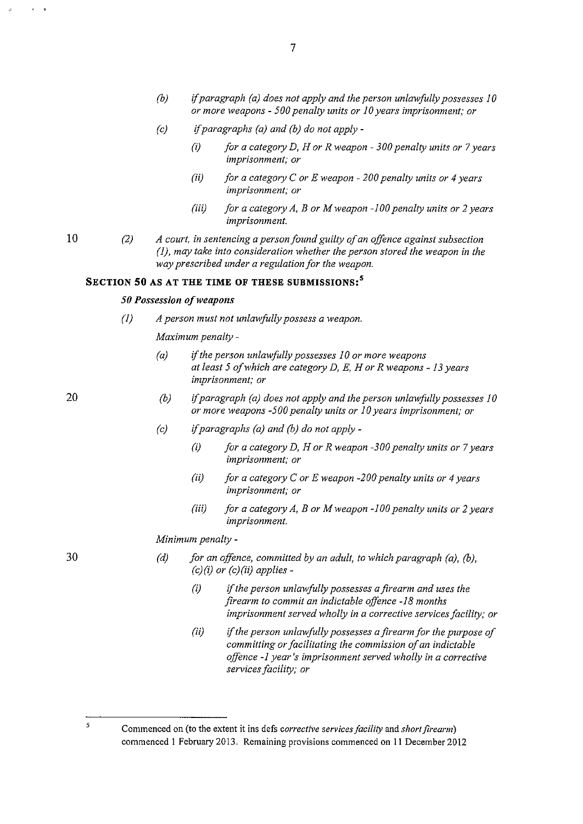- *(b)* if paragraph *(a) does not apply and the person unlawfully possesses 10 or more weapons- 500 penalty units or IO years imprisonment; or*
- *(c)* if *paragraphs (a) and (b) do not apply-*
	- *(i) for a category D, H orR weapon 300 penalty units or 7 years imprisonment; or*
	- *(ii) for a category CorE weapon 200 penalty units or 4 years imprisonment; or*
	- *(iii) for a category A, B or M weapon -I 00 penalty units or 2 years imprisonment.*
- **10** *(2) A court, in sentencing a person found guilty of an offence against subsection (I), may take into consideration whether the person stored the weapon in the way prescribed under a regulation for the weapon.*

### **SECTION 50 AS AT THE TIME OF THESE SUBMISSIONS: <sup>5</sup>**

### *50 Possession of weapons*

*(I) A person must not unlawfully possess a weapon.* 

*Maximum penalty* -

- *(a)* if *the person unlawfully possesses I 0 or more weapons at least 5 of which are category D, E, H orR weapons* - *I3 years imprisonment; or*
- *(b)*  if *paragraph (a) does not apply and the person unlawfully possesses I 0 or more weapons -500 penalty units or IO years imprisonment; or*
- *(c)* if *paragraphs (a) and (b) do not apply-*
	- *(i) for a category D, H orR weapon -300 penalty units or 7 years imprisonment; or*
	- *(ii} for a category CorE weapon -200 penalty units or 4 years imprisonment; or*
	- *(iii) for a category A, B or M weapon -I 00 penalty units or 2 years imprisonment.*

### *Minimum penalty* -

- *(d) for an offence, committed by an adult, to which paragraph (a), (b), (c)(i) or (c)(ii) applies* -
	- *(i)* if *the person unlawfully possesses a firearm and uses the firearm to commit an indictable offence -I8 months imprisonment served wholly in a corrective services facility; or*
	- *(ii)* if *the person unlawfully possesses a firearm for the purpose of committing or facilitating the commission of an indictable offence -I year's imprisonment served wholly in a corrective services facility; or*

20

30

Commenced on (to the extent it ins defs *corrective services facility* and *short firearm)*  commenced 1 February 2013. Remaining provisions commenced on 11 December 2012